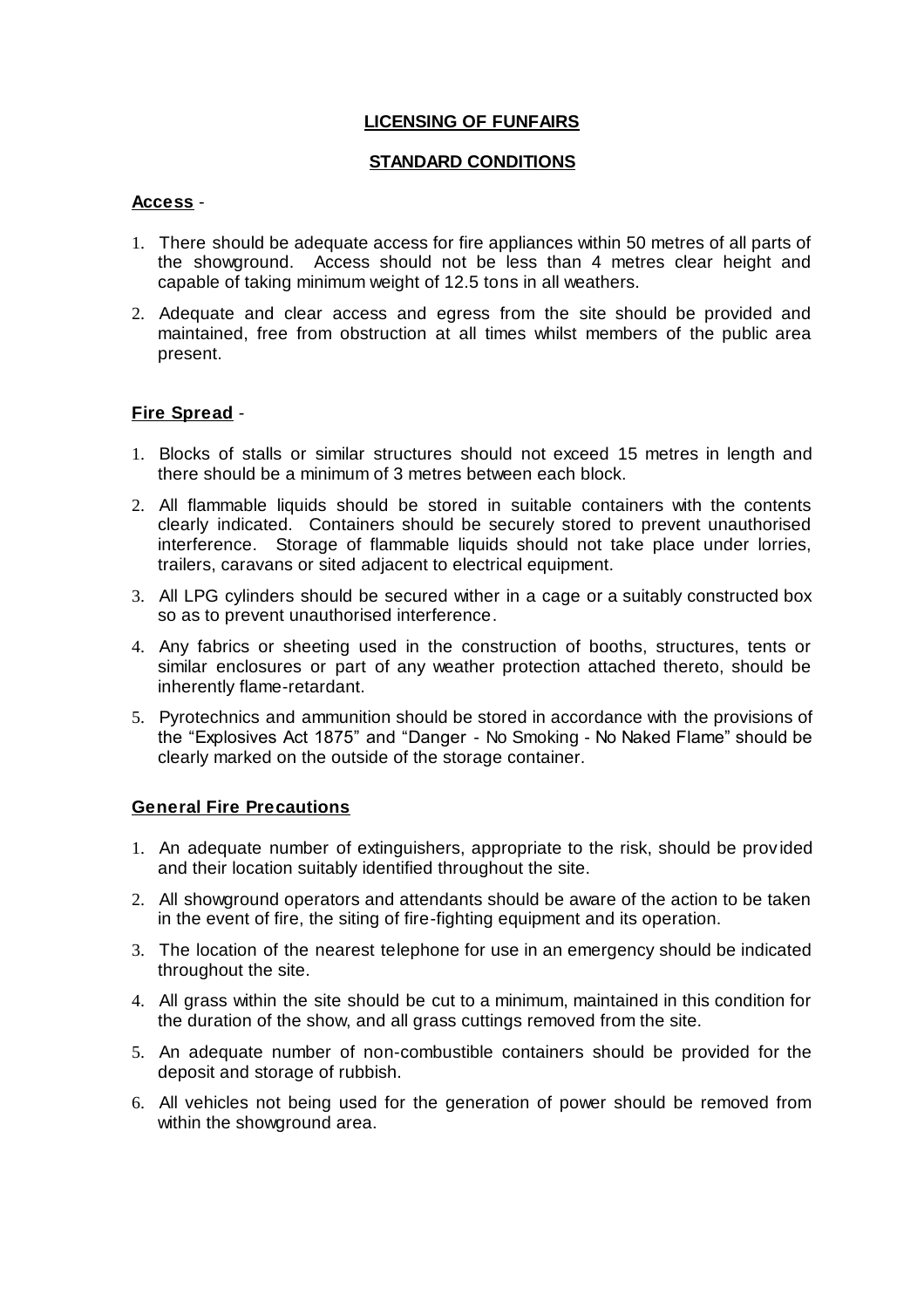### **LICENSING OF FUNFAIRS**

### **STANDARD CONDITIONS**

### **Access** -

- 1. There should be adequate access for fire appliances within 50 metres of all parts of the showground. Access should not be less than 4 metres clear height and capable of taking minimum weight of 12.5 tons in all weathers.
- 2. Adequate and clear access and egress from the site should be provided and maintained, free from obstruction at all times whilst members of the public area present.

# **Fire Spread** -

- 1. Blocks of stalls or similar structures should not exceed 15 metres in length and there should be a minimum of 3 metres between each block.
- 2. All flammable liquids should be stored in suitable containers with the contents clearly indicated. Containers should be securely stored to prevent unauthorised interference. Storage of flammable liquids should not take place under lorries, trailers, caravans or sited adjacent to electrical equipment.
- 3. All LPG cylinders should be secured wither in a cage or a suitably constructed box so as to prevent unauthorised interference.
- 4. Any fabrics or sheeting used in the construction of booths, structures, tents or similar enclosures or part of any weather protection attached thereto, should be inherently flame-retardant.
- 5. Pyrotechnics and ammunition should be stored in accordance with the provisions of the "Explosives Act 1875" and "Danger - No Smoking - No Naked Flame" should be clearly marked on the outside of the storage container.

### **General Fire Precautions**

- 1. An adequate number of extinguishers, appropriate to the risk, should be provided and their location suitably identified throughout the site.
- 2. All showground operators and attendants should be aware of the action to be taken in the event of fire, the siting of fire-fighting equipment and its operation.
- 3. The location of the nearest telephone for use in an emergency should be indicated throughout the site.
- 4. All grass within the site should be cut to a minimum, maintained in this condition for the duration of the show, and all grass cuttings removed from the site.
- 5. An adequate number of non-combustible containers should be provided for the deposit and storage of rubbish.
- 6. All vehicles not being used for the generation of power should be removed from within the showground area.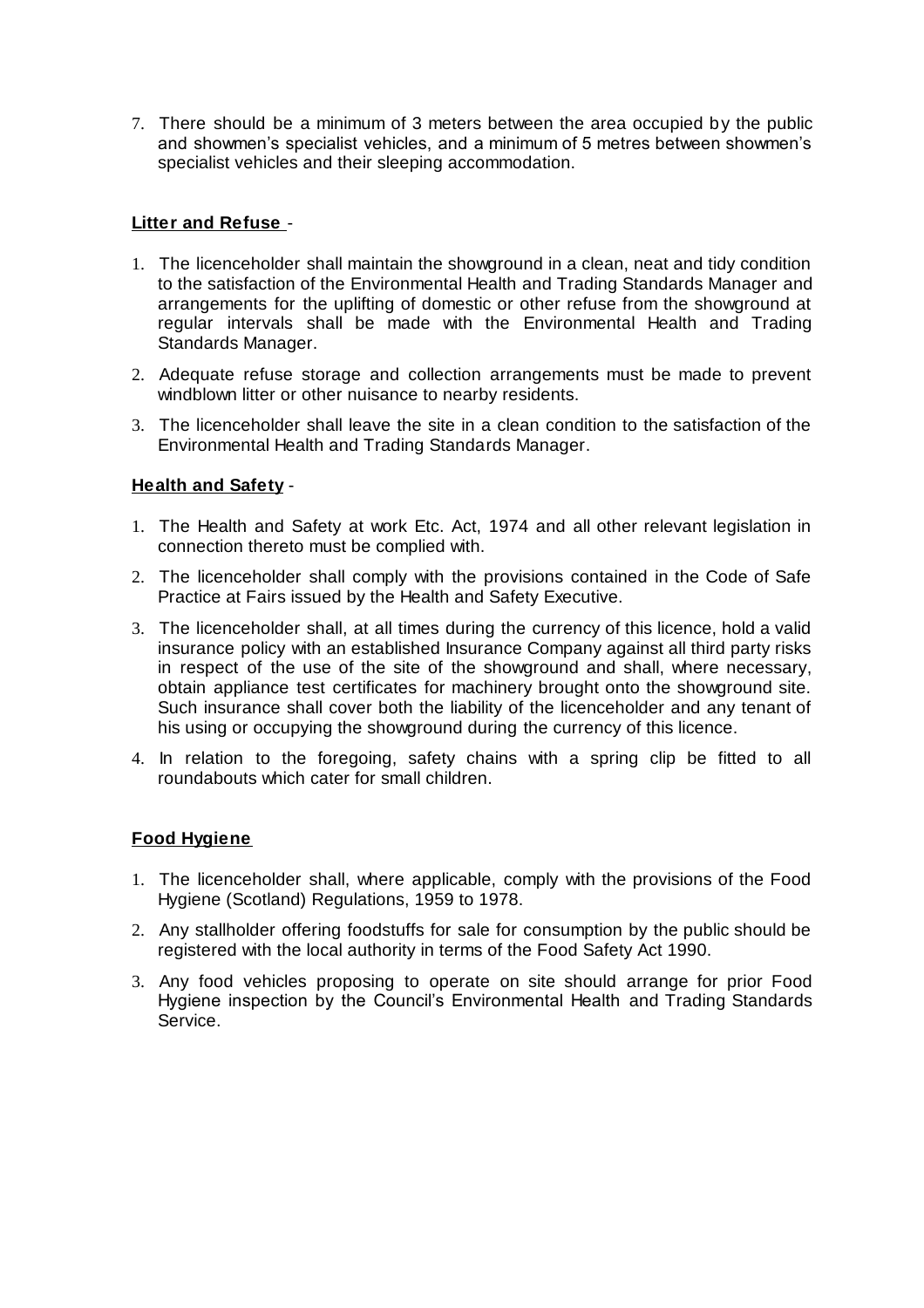7. There should be a minimum of 3 meters between the area occupied by the public and showmen's specialist vehicles, and a minimum of 5 metres between showmen's specialist vehicles and their sleeping accommodation.

# **Litter and Refuse** -

- 1. The licenceholder shall maintain the showground in a clean, neat and tidy condition to the satisfaction of the Environmental Health and Trading Standards Manager and arrangements for the uplifting of domestic or other refuse from the showground at regular intervals shall be made with the Environmental Health and Trading Standards Manager.
- 2. Adequate refuse storage and collection arrangements must be made to prevent windblown litter or other nuisance to nearby residents.
- 3. The licenceholder shall leave the site in a clean condition to the satisfaction of the Environmental Health and Trading Standards Manager.

### **Health and Safety** -

- 1. The Health and Safety at work Etc. Act, 1974 and all other relevant legislation in connection thereto must be complied with.
- 2. The licenceholder shall comply with the provisions contained in the Code of Safe Practice at Fairs issued by the Health and Safety Executive.
- 3. The licenceholder shall, at all times during the currency of this licence, hold a valid insurance policy with an established Insurance Company against all third party risks in respect of the use of the site of the showground and shall, where necessary, obtain appliance test certificates for machinery brought onto the showground site. Such insurance shall cover both the liability of the licenceholder and any tenant of his using or occupying the showground during the currency of this licence.
- 4. In relation to the foregoing, safety chains with a spring clip be fitted to all roundabouts which cater for small children.

### **Food Hygiene**

- 1. The licenceholder shall, where applicable, comply with the provisions of the Food Hygiene (Scotland) Regulations, 1959 to 1978.
- 2. Any stallholder offering foodstuffs for sale for consumption by the public should be registered with the local authority in terms of the Food Safety Act 1990.
- 3. Any food vehicles proposing to operate on site should arrange for prior Food Hygiene inspection by the Council's Environmental Health and Trading Standards Service.